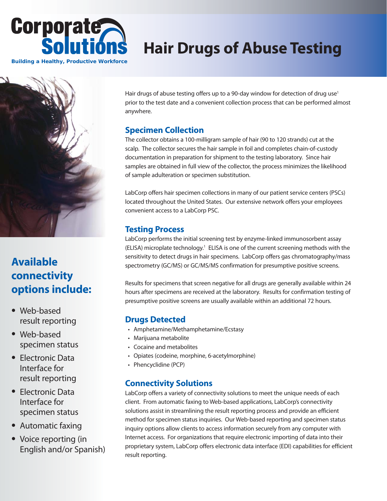

# **Hair Drugs of Abuse Testing**



## **Available connectivity options include:**

- Web-based result reporting
- Web-based specimen status
- Electronic Data Interface for result reporting
- Electronic Data Interface for specimen status
- Automatic faxing
- Voice reporting (in English and/or Spanish)

Hair drugs of abuse testing offers up to a 90-day window for detection of drug use<sup>1</sup> prior to the test date and a convenient collection process that can be performed almost anywhere.

### **Specimen Collection**

The collector obtains a 100-milligram sample of hair (90 to 120 strands) cut at the scalp. The collector secures the hair sample in foil and completes chain-of-custody documentation in preparation for shipment to the testing laboratory. Since hair samples are obtained in full view of the collector, the process minimizes the likelihood of sample adulteration or specimen substitution.

LabCorp offers hair specimen collections in many of our patient service centers (PSCs) located throughout the United States. Our extensive network offers your employees convenient access to a LabCorp PSC.

### **Testing Process**

LabCorp performs the initial screening test by enzyme-linked immunosorbent assay (ELISA) microplate technology.<sup>1</sup> ELISA is one of the current screening methods with the sensitivity to detect drugs in hair specimens. LabCorp offers gas chromatography/mass spectrometry (GC/MS) or GC/MS/MS confirmation for presumptive positive screens.

Results for specimens that screen negative for all drugs are generally available within 24 hours after specimens are received at the laboratory. Results for confirmation testing of presumptive positive screens are usually available within an additional 72 hours.

### **Drugs Detected**

- Amphetamine/Methamphetamine/Ecstasy
- Marijuana metabolite
- Cocaine and metabolites
- Opiates (codeine, morphine, 6-acetylmorphine)
- Phencyclidine (PCP)

### **Connectivity Solutions**

LabCorp offers a variety of connectivity solutions to meet the unique needs of each client. From automatic faxing to Web-based applications, LabCorp's connectivity solutions assist in streamlining the result reporting process and provide an efficient method for specimen status inquiries. Our Web-based reporting and specimen status inquiry options allow clients to access information securely from any computer with Internet access. For organizations that require electronic importing of data into their proprietary system, LabCorp offers electronic data interface (EDI) capabilities for efficient result reporting.